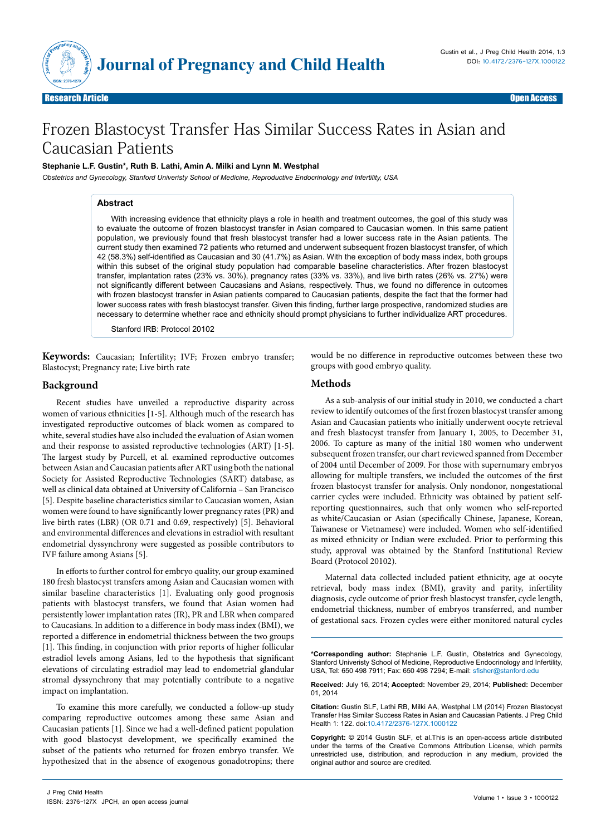

# Frozen Blastocyst Transfer Has Similar Success Rates in Asian and Caucasian Patients

### **Stephanie L.F. Gustin\*, Ruth B. Lathi, Amin A. Milki and Lynn M. Westphal**

*Obstetrics and Gynecology, Stanford Univeristy School of Medicine, Reproductive Endocrinology and Infertility, USA*

#### **Abstract**

With increasing evidence that ethnicity plays a role in health and treatment outcomes, the goal of this study was to evaluate the outcome of frozen blastocyst transfer in Asian compared to Caucasian women. In this same patient population, we previously found that fresh blastocyst transfer had a lower success rate in the Asian patients. The current study then examined 72 patients who returned and underwent subsequent frozen blastocyst transfer, of which 42 (58.3%) self-identified as Caucasian and 30 (41.7%) as Asian. With the exception of body mass index, both groups within this subset of the original study population had comparable baseline characteristics. After frozen blastocyst transfer, implantation rates (23% vs. 30%), pregnancy rates (33% vs. 33%), and live birth rates (26% vs. 27%) were not significantly different between Caucasians and Asians, respectively. Thus, we found no difference in outcomes with frozen blastocyst transfer in Asian patients compared to Caucasian patients, despite the fact that the former had lower success rates with fresh blastocyst transfer. Given this finding, further large prospective, randomized studies are necessary to determine whether race and ethnicity should prompt physicians to further individualize ART procedures.

Stanford IRB: Protocol 20102

**Keywords:** Caucasian; Infertility; IVF; Frozen embryo transfer; Blastocyst; Pregnancy rate; Live birth rate

### **Background**

Recent studies have unveiled a reproductive disparity across women of various ethnicities [1-5]. Although much of the research has investigated reproductive outcomes of black women as compared to white, several studies have also included the evaluation of Asian women and their response to assisted reproductive technologies (ART) [1-5]. The largest study by Purcell, et al. examined reproductive outcomes between Asian and Caucasian patients after ART using both the national Society for Assisted Reproductive Technologies (SART) database, as well as clinical data obtained at University of California – San Francisco [5]. Despite baseline characteristics similar to Caucasian women, Asian women were found to have significantly lower pregnancy rates (PR) and live birth rates (LBR) (OR 0.71 and 0.69, respectively) [5]. Behavioral and environmental differences and elevations in estradiol with resultant endometrial dyssynchrony were suggested as possible contributors to IVF failure among Asians [5].

In efforts to further control for embryo quality, our group examined 180 fresh blastocyst transfers among Asian and Caucasian women with similar baseline characteristics [1]. Evaluating only good prognosis patients with blastocyst transfers, we found that Asian women had persistently lower implantation rates (IR), PR and LBR when compared to Caucasians. In addition to a difference in body mass index (BMI), we reported a difference in endometrial thickness between the two groups [1]. This finding, in conjunction with prior reports of higher follicular estradiol levels among Asians, led to the hypothesis that significant elevations of circulating estradiol may lead to endometrial glandular stromal dyssynchrony that may potentially contribute to a negative impact on implantation.

To examine this more carefully, we conducted a follow-up study comparing reproductive outcomes among these same Asian and Caucasian patients [1]. Since we had a well-defined patient population with good blastocyst development, we specifically examined the subset of the patients who returned for frozen embryo transfer. We hypothesized that in the absence of exogenous gonadotropins; there

## **Methods**

groups with good embryo quality.

As a sub-analysis of our initial study in 2010, we conducted a chart review to identify outcomes of the first frozen blastocyst transfer among Asian and Caucasian patients who initially underwent oocyte retrieval and fresh blastocyst transfer from January 1, 2005, to December 31, 2006. To capture as many of the initial 180 women who underwent subsequent frozen transfer, our chart reviewed spanned from December of 2004 until December of 2009. For those with supernumary embryos allowing for multiple transfers, we included the outcomes of the first frozen blastocyst transfer for analysis. Only nondonor, nongestational carrier cycles were included. Ethnicity was obtained by patient selfreporting questionnaires, such that only women who self-reported as white/Caucasian or Asian (specifically Chinese, Japanese, Korean, Taiwanese or Vietnamese) were included. Women who self-identified as mixed ethnicity or Indian were excluded. Prior to performing this study, approval was obtained by the Stanford Institutional Review Board (Protocol 20102).

would be no difference in reproductive outcomes between these two

Maternal data collected included patient ethnicity, age at oocyte retrieval, body mass index (BMI), gravity and parity, infertility diagnosis, cycle outcome of prior fresh blastocyst transfer, cycle length, endometrial thickness, number of embryos transferred, and number of gestational sacs. Frozen cycles were either monitored natural cycles

**\*Corresponding author:** Stephanie L.F. Gustin, Obstetrics and Gynecology, Stanford Univeristy School of Medicine, Reproductive Endocrinology and Infertility, USA, Tel: 650 498 7911; Fax: 650 498 7294; E-mail: sfisher@stanford.edu

**Received:** July 16, 2014; **Accepted:** November 29, 2014; **Published:** December 01, 2014

**Citation:** Gustin SLF, Lathi RB, Milki AA, Westphal LM (2014) Frozen Blastocyst Transfer Has Similar Success Rates in Asian and Caucasian Patients. J Preg Child Health 1: 122. doi:10.4172/2376-127X.1000122

**Copyright:** © 2014 Gustin SLF, et al.This is an open-access article distributed under the terms of the Creative Commons Attribution License, which permits unrestricted use, distribution, and reproduction in any medium, provided the original author and source are credited.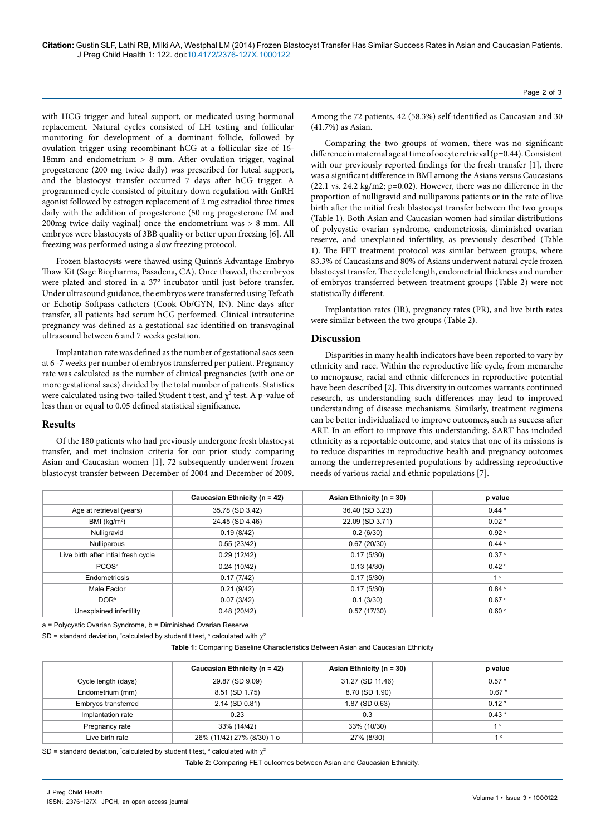with HCG trigger and luteal support, or medicated using hormonal replacement. Natural cycles consisted of LH testing and follicular monitoring for development of a dominant follicle, followed by ovulation trigger using recombinant hCG at a follicular size of 16- 18mm and endometrium > 8 mm. After ovulation trigger, vaginal progesterone (200 mg twice daily) was prescribed for luteal support, and the blastocyst transfer occurred 7 days after hCG trigger. A programmed cycle consisted of pituitary down regulation with GnRH agonist followed by estrogen replacement of 2 mg estradiol three times daily with the addition of progesterone (50 mg progesterone IM and 200mg twice daily vaginal) once the endometrium was > 8 mm. All embryos were blastocysts of 3BB quality or better upon freezing [6]. All freezing was performed using a slow freezing protocol.

Frozen blastocysts were thawed using Quinn's Advantage Embryo Thaw Kit (Sage Biopharma, Pasadena, CA). Once thawed, the embryos were plated and stored in a 37° incubator until just before transfer. Under ultrasound guidance, the embryos were transferred using Tefcath or Echotip Softpass catheters (Cook Ob/GYN, IN). Nine days after transfer, all patients had serum hCG performed. Clinical intrauterine pregnancy was defined as a gestational sac identified on transvaginal ultrasound between 6 and 7 weeks gestation.

Implantation rate was defined as the number of gestational sacs seen at 6 -7 weeks per number of embryos transferred per patient. Pregnancy rate was calculated as the number of clinical pregnancies (with one or more gestational sacs) divided by the total number of patients. Statistics were calculated using two-tailed Student t test, and  $\chi^2$  test. A p-value of less than or equal to 0.05 defined statistical significance.

### **Results**

Of the 180 patients who had previously undergone fresh blastocyst transfer, and met inclusion criteria for our prior study comparing Asian and Caucasian women [1], 72 subsequently underwent frozen blastocyst transfer between December of 2004 and December of 2009.

Among the 72 patients, 42 (58.3%) self-identified as Caucasian and 30 (41.7%) as Asian.

Comparing the two groups of women, there was no significant difference in maternal age at time of oocyte retrieval (p=0.44). Consistent with our previously reported findings for the fresh transfer [1], there was a significant difference in BMI among the Asians versus Caucasians  $(22.1 \text{ vs. } 24.2 \text{ kg/m2}; \text{ p=0.02}).$  However, there was no difference in the proportion of nulligravid and nulliparous patients or in the rate of live birth after the initial fresh blastocyst transfer between the two groups (Table 1). Both Asian and Caucasian women had similar distributions of polycystic ovarian syndrome, endometriosis, diminished ovarian reserve, and unexplained infertility, as previously described (Table 1). The FET treatment protocol was similar between groups, where 83.3% of Caucasians and 80% of Asians underwent natural cycle frozen blastocyst transfer. The cycle length, endometrial thickness and number of embryos transferred between treatment groups (Table 2) were not statistically different.

Implantation rates (IR), pregnancy rates (PR), and live birth rates were similar between the two groups (Table 2).

### **Discussion**

Disparities in many health indicators have been reported to vary by ethnicity and race. Within the reproductive life cycle, from menarche to menopause, racial and ethnic differences in reproductive potential have been described [2]. This diversity in outcomes warrants continued research, as understanding such differences may lead to improved understanding of disease mechanisms. Similarly, treatment regimens can be better individualized to improve outcomes, such as success after ART. In an effort to improve this understanding, SART has included ethnicity as a reportable outcome, and states that one of its missions is to reduce disparities in reproductive health and pregnancy outcomes among the underrepresented populations by addressing reproductive needs of various racial and ethnic populations [7].

|                                     | Caucasian Ethnicity (n = 42) | Asian Ethnicity ( $n = 30$ ) | p value             |
|-------------------------------------|------------------------------|------------------------------|---------------------|
| Age at retrieval (years)            | 35.78 (SD 3.42)              | 36.40 (SD 3.23)              | $0.44*$             |
| BMI ( $kg/m2$ )                     | 24.45 (SD 4.46)              | 22.09 (SD 3.71)              | $0.02*$             |
| Nulligravid                         | 0.19(8/42)                   | 0.2(6/30)                    | 0.92°               |
| Nulliparous                         | 0.55(23/42)                  | 0.67(20/30)                  | $0.44 \circ$        |
| Live birth after intial fresh cycle | 0.29(12/42)                  | 0.17(5/30)                   | 0.37°               |
| PCOS <sup>a</sup>                   | 0.24(10/42)                  | 0.13(4/30)                   | $0.42 \circ$        |
| Endometriosis                       | 0.17(7/42)                   | 0.17(5/30)                   | 1 <sup>°</sup>      |
| Male Factor                         | 0.21(9/42)                   | 0.17(5/30)                   | $0.84$ <sup>o</sup> |
| DOR <sup>b</sup>                    | 0.07(3/42)                   | 0.1(3/30)                    | 0.67°               |
| Unexplained infertility             | 0.48(20/42)                  | 0.57(17/30)                  | 0.60°               |

a = Polycystic Ovarian Syndrome, b = Diminished Ovarian Reserve

SD = standard deviation, \*calculated by student t test,  $\circ$  calculated with  $\chi^2$ 

**Table 1:** Comparing Baseline Characteristics Between Asian and Caucasian Ethnicity

|                     | Caucasian Ethnicity ( $n = 42$ ) | Asian Ethnicity ( $n = 30$ ) | p value |
|---------------------|----------------------------------|------------------------------|---------|
| Cycle length (days) | 29.87 (SD 9.09)                  | 31.27 (SD 11.46)             | $0.57*$ |
| Endometrium (mm)    | 8.51 (SD 1.75)                   | 8.70 (SD 1.90)               | $0.67*$ |
| Embryos transferred | 2.14 (SD 0.81)                   | 1.87 (SD 0.63)               | $0.12*$ |
| Implantation rate   | 0.23                             | 0.3                          | $0.43*$ |
| Pregnancy rate      | 33% (14/42)                      | 33% (10/30)                  | 10      |
| Live birth rate     | 26% (11/42) 27% (8/30) 1 o       | 27% (8/30)                   | 1°      |

SD = standard deviation, \*calculated by student t test,  $^{\circ}$  calculated with  $\chi^2$ 

**Table 2:** Comparing FET outcomes between Asian and Caucasian Ethnicity.